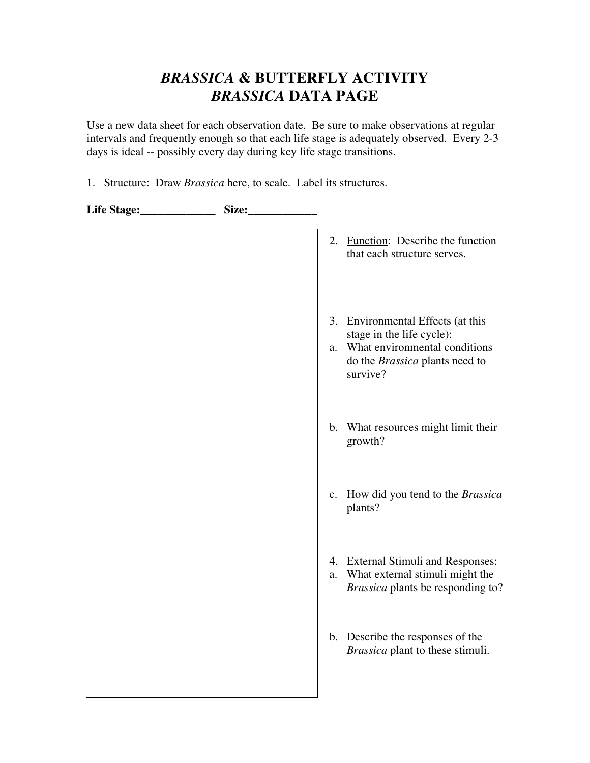## *BRASSICA* **& BUTTERFLY ACTIVITY** *BRASSICA* **DATA PAGE**

Use a new data sheet for each observation date. Be sure to make observations at regular intervals and frequently enough so that each life stage is adequately observed. Every 2-3 days is ideal -- possibly every day during key life stage transitions.

1. Structure: Draw *Brassica* here, to scale. Label its structures.

| Life Stage:____________ | Size: |                                                                                                                                                     |
|-------------------------|-------|-----------------------------------------------------------------------------------------------------------------------------------------------------|
|                         |       | 2. Function: Describe the function<br>that each structure serves.                                                                                   |
|                         |       | 3. Environmental Effects (at this<br>stage in the life cycle):<br>What environmental conditions<br>a.<br>do the Brassica plants need to<br>survive? |
|                         |       | b. What resources might limit their<br>growth?                                                                                                      |
|                         |       | c. How did you tend to the Brassica<br>plants?                                                                                                      |
|                         |       | 4. External Stimuli and Responses:<br>What external stimuli might the<br>a.<br>Brassica plants be responding to?                                    |
|                         |       | b. Describe the responses of the<br>Brassica plant to these stimuli.                                                                                |
|                         |       |                                                                                                                                                     |